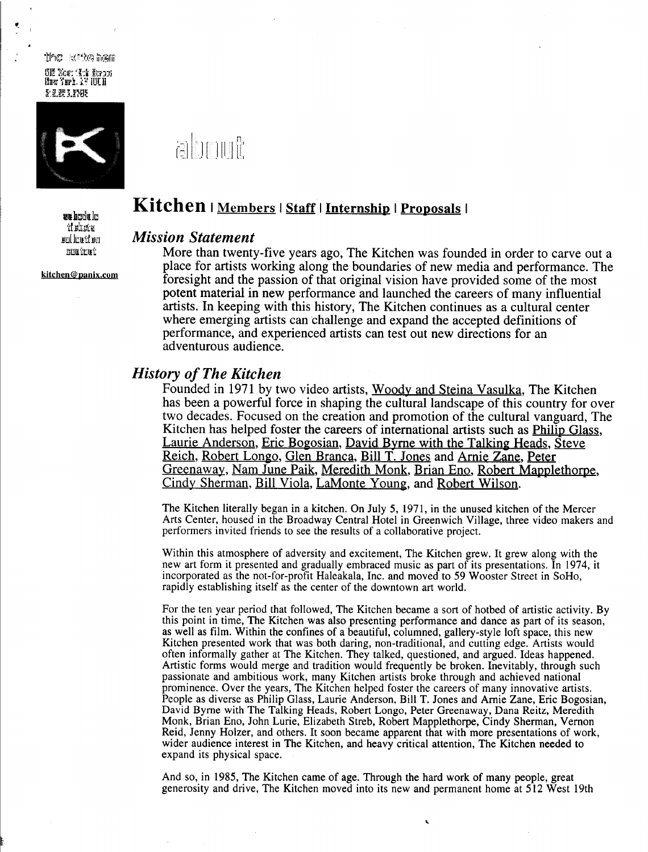the stite hem 312 Nost 13th Strom<br>N<mark>aw Yarb. A? 10</mark>C11 E1.1920 "UNIUL



kitchen@panix.com

## about

# **ING THE READER I MEMBER I STAFF I Internship I Proposals I**

## $\frac{1}{\text{fullwidth}}$   $\frac{Mission\ Statement}{\text{More than twenty}}$

More than twenty-five years ago, The Kitchen was founded in order to carve out a place for artists working along the boundaries of new media and performance. The foresight and the passion of that original vision have provided some of the most potent material in new performance and launched the careers of many influential artists. In keeping with this history, The Kitchen continues as a cultural center where emerging artists can challenge and expand the accepted definitions of performance, and experienced artists can test out new directions for an adventurous audience.

#### History of The Kitchen

Founded in 1971 by two video artists, Woody and Steina Vasulka, The Kitchen has been a powerful force in shaping the cultural landscape of this country for over two decades. Focused on the creation and promotion of the cultural vanguard, The Kitchen has helped foster the careers of international artists such as *Philip Glass*, Laurie Anderson, Eric Bogosian, David Byrne with the Talking Heads, Steve Reich , Robert Longo, Glen Branca, Bill T. Jones and Arnie Zane, Peter Greenaway, Nam June Paik, Meredith Monk, Brian Eno, Robert Mapplethorpe, Cindy Sherman, Bill Viola, LaMonte Young, and Robert Wilson.

The Kitchen literally began in a kitchen. On July 5, 1971, in the unused kitchen of the Mercer Arts Center, housed in the Broadway Central Hotel in Greenwich Village, three video makers and performers invited friends to see the results of a collaborative project .

Within this atmosphere of adversity and excitement, The Kitchen grew. It grew along with the new art form it presented and gradually embraced music as part of its presentations . In 1974, it incorporated as the not-for-profit Haleakala, Inc . and moved to 59 Wooster Street in SoHo, rapidly establishing itself as the center of the downtown art world.

For the ten year period that followed, The Kitchen became a sort of hotbed of artistic activity. By this point in time, The Kitchen was also presenting performance and dance as part of its season, as well as film. Within the confines of a beautiful, columned, gallery-style loft space, this new Kitchen presented work that was both daring, non-traditional, and cutting edge. Artists would often informally gather at The Kitchen. They talked, questioned, and argued. Ideas happened. Artistic forms would merge and tradition would frequently be broken . Inevitably, through such passionate and ambitious work, many Kitchen artists broke through and achieved national prominence. Over the years, The Kitchen helped foster the careers of many innovative artists . People as diverse as Philip Glass, Laurie Anderson, Bill T. Jones and Arnie Zane, Eric Bogosian, David Byme with The Talking Heads, Robert Longo, Peter Greenaway, Dana Reitz, Meredith Monk, Brian Eno, John Lurie, Elizabeth Streb, Robert Mapplethorpe, Cindy Sherman, Vernon Reid, Jenny Holzer, and others . It soon became apparent that with more presentations of work, wider audience interest in The Kitchen, and heavy critical attention, The Kitchen needed to expand its physical space.

And so, in 1985, The Kitchen came of age. Through the hard work of many people, great generosity and drive, The Kitchen moved into its new and permanent home at 512 West 19th